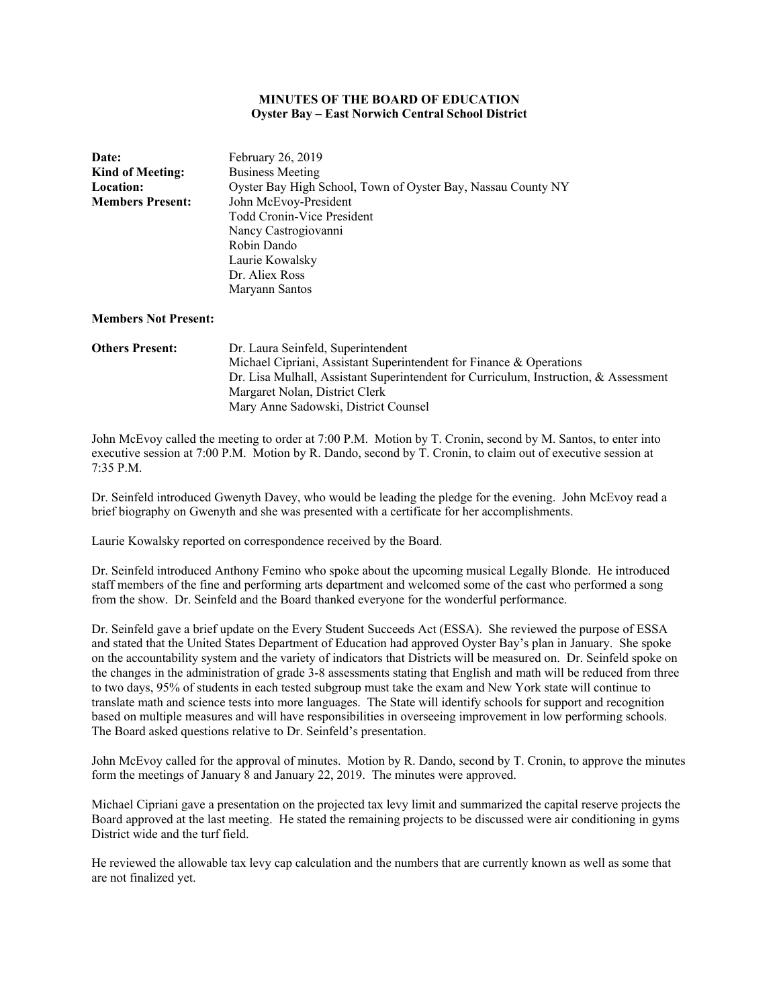# **MINUTES OF THE BOARD OF EDUCATION Oyster Bay – East Norwich Central School District**

| Date:                   | February 26, 2019                                            |
|-------------------------|--------------------------------------------------------------|
| <b>Kind of Meeting:</b> | <b>Business Meeting</b>                                      |
| <b>Location:</b>        | Oyster Bay High School, Town of Oyster Bay, Nassau County NY |
| <b>Members Present:</b> | John McEvoy-President                                        |
|                         | <b>Todd Cronin-Vice President</b>                            |
|                         | Nancy Castrogiovanni                                         |
|                         | Robin Dando                                                  |
|                         | Laurie Kowalsky                                              |
|                         | Dr. Aliex Ross                                               |
|                         | Maryann Santos                                               |
|                         |                                                              |

#### **Members Not Present:**

**Others Present:** Dr. Laura Seinfeld, Superintendent Michael Cipriani, Assistant Superintendent for Finance & Operations Dr. Lisa Mulhall, Assistant Superintendent for Curriculum, Instruction, & Assessment Margaret Nolan, District Clerk Mary Anne Sadowski, District Counsel

John McEvoy called the meeting to order at 7:00 P.M. Motion by T. Cronin, second by M. Santos, to enter into executive session at 7:00 P.M. Motion by R. Dando, second by T. Cronin, to claim out of executive session at 7:35 P.M.

Dr. Seinfeld introduced Gwenyth Davey, who would be leading the pledge for the evening. John McEvoy read a brief biography on Gwenyth and she was presented with a certificate for her accomplishments.

Laurie Kowalsky reported on correspondence received by the Board.

Dr. Seinfeld introduced Anthony Femino who spoke about the upcoming musical Legally Blonde. He introduced staff members of the fine and performing arts department and welcomed some of the cast who performed a song from the show. Dr. Seinfeld and the Board thanked everyone for the wonderful performance.

Dr. Seinfeld gave a brief update on the Every Student Succeeds Act (ESSA). She reviewed the purpose of ESSA and stated that the United States Department of Education had approved Oyster Bay's plan in January. She spoke on the accountability system and the variety of indicators that Districts will be measured on. Dr. Seinfeld spoke on the changes in the administration of grade 3-8 assessments stating that English and math will be reduced from three to two days, 95% of students in each tested subgroup must take the exam and New York state will continue to translate math and science tests into more languages. The State will identify schools for support and recognition based on multiple measures and will have responsibilities in overseeing improvement in low performing schools. The Board asked questions relative to Dr. Seinfeld's presentation.

John McEvoy called for the approval of minutes. Motion by R. Dando, second by T. Cronin, to approve the minutes form the meetings of January 8 and January 22, 2019. The minutes were approved.

Michael Cipriani gave a presentation on the projected tax levy limit and summarized the capital reserve projects the Board approved at the last meeting. He stated the remaining projects to be discussed were air conditioning in gyms District wide and the turf field.

He reviewed the allowable tax levy cap calculation and the numbers that are currently known as well as some that are not finalized yet.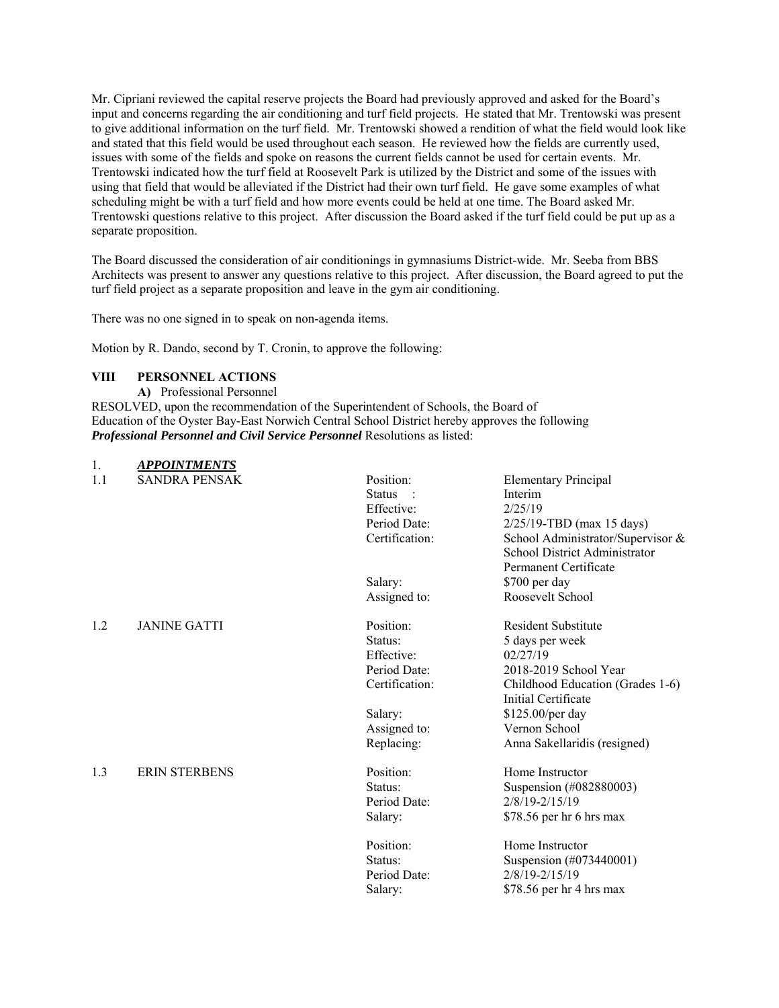Mr. Cipriani reviewed the capital reserve projects the Board had previously approved and asked for the Board's input and concerns regarding the air conditioning and turf field projects. He stated that Mr. Trentowski was present to give additional information on the turf field. Mr. Trentowski showed a rendition of what the field would look like and stated that this field would be used throughout each season. He reviewed how the fields are currently used, issues with some of the fields and spoke on reasons the current fields cannot be used for certain events. Mr. Trentowski indicated how the turf field at Roosevelt Park is utilized by the District and some of the issues with using that field that would be alleviated if the District had their own turf field. He gave some examples of what scheduling might be with a turf field and how more events could be held at one time. The Board asked Mr. Trentowski questions relative to this project. After discussion the Board asked if the turf field could be put up as a separate proposition.

The Board discussed the consideration of air conditionings in gymnasiums District-wide. Mr. Seeba from BBS Architects was present to answer any questions relative to this project. After discussion, the Board agreed to put the turf field project as a separate proposition and leave in the gym air conditioning.

There was no one signed in to speak on non-agenda items.

Motion by R. Dando, second by T. Cronin, to approve the following:

# **VIII PERSONNEL ACTIONS**

1. *APPOINTMENTS* 

**A)** Professional Personnel RESOLVED, upon the recommendation of the Superintendent of Schools, the Board of Education of the Oyster Bay-East Norwich Central School District hereby approves the following *Professional Personnel and Civil Service Personnel* Resolutions as listed:

| 1.<br>1.1 | AI I UIN IMEN I J<br><b>SANDRA PENSAK</b> | Position:      | <b>Elementary Principal</b>       |
|-----------|-------------------------------------------|----------------|-----------------------------------|
|           |                                           | <b>Status</b>  | Interim                           |
|           |                                           | Effective:     | 2/25/19                           |
|           |                                           | Period Date:   | $2/25/19$ -TBD (max 15 days)      |
|           |                                           | Certification: | School Administrator/Supervisor & |
|           |                                           |                | School District Administrator     |
|           |                                           |                | Permanent Certificate             |
|           |                                           | Salary:        | \$700 per day                     |
|           |                                           | Assigned to:   | Roosevelt School                  |
|           |                                           |                |                                   |
| 1.2       | <b>JANINE GATTI</b>                       | Position:      | <b>Resident Substitute</b>        |
|           |                                           | Status:        | 5 days per week                   |
|           |                                           | Effective:     | 02/27/19                          |
|           |                                           | Period Date:   | 2018-2019 School Year             |
|           |                                           | Certification: | Childhood Education (Grades 1-6)  |
|           |                                           |                | Initial Certificate               |
|           |                                           | Salary:        | \$125.00/per day                  |
|           |                                           | Assigned to:   | Vernon School                     |
|           |                                           | Replacing:     | Anna Sakellaridis (resigned)      |
| 1.3       | <b>ERIN STERBENS</b>                      | Position:      | Home Instructor                   |
|           |                                           | Status:        | Suspension (#082880003)           |
|           |                                           | Period Date:   | 2/8/19-2/15/19                    |
|           |                                           | Salary:        | \$78.56 per hr 6 hrs max          |
|           |                                           | Position:      | Home Instructor                   |
|           |                                           | Status:        | Suspension (#073440001)           |
|           |                                           | Period Date:   | 2/8/19-2/15/19                    |
|           |                                           | Salary:        | \$78.56 per hr 4 hrs max          |
|           |                                           |                |                                   |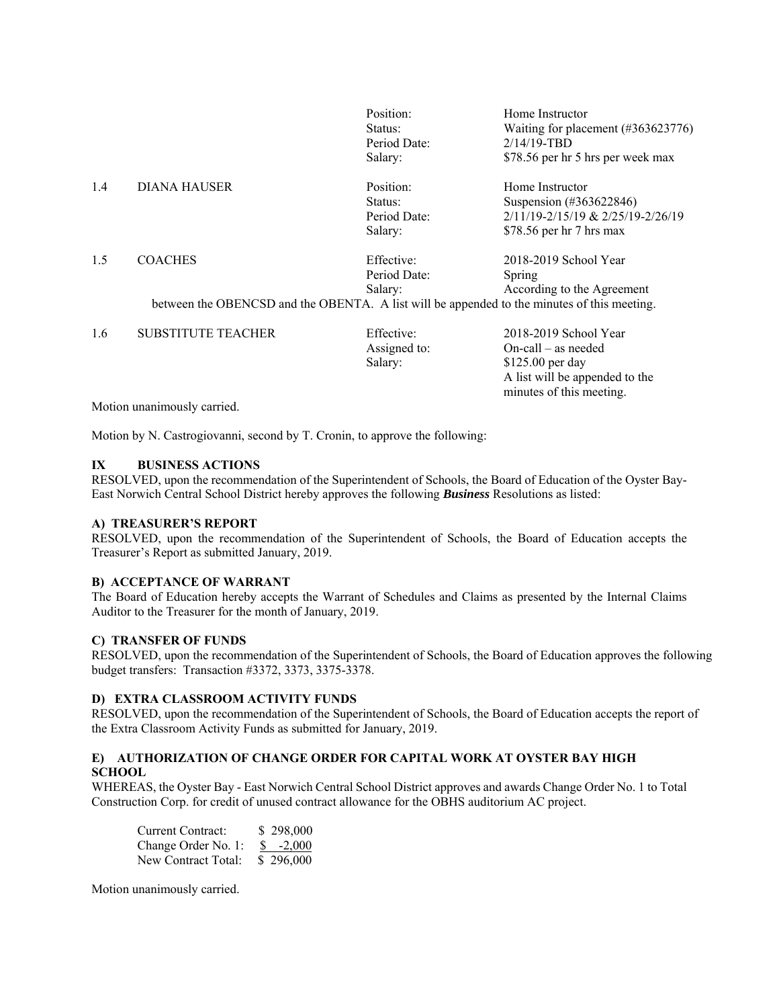|     |                           | Position:    | Home Instructor                                                                             |
|-----|---------------------------|--------------|---------------------------------------------------------------------------------------------|
|     |                           | Status:      | Waiting for placement $(\#363623776)$                                                       |
|     |                           | Period Date: | $2/14/19$ -TBD                                                                              |
|     |                           | Salary:      | \$78.56 per hr 5 hrs per week max                                                           |
| 1.4 | <b>DIANA HAUSER</b>       | Position:    | Home Instructor                                                                             |
|     |                           | Status:      | Suspension (#363622846)                                                                     |
|     |                           | Period Date: | 2/11/19-2/15/19 & 2/25/19-2/26/19                                                           |
|     |                           | Salary:      | \$78.56 per $hr$ 7 hrs max                                                                  |
| 1.5 | <b>COACHES</b>            | Effective:   | 2018-2019 School Year                                                                       |
|     |                           | Period Date: | Spring                                                                                      |
|     |                           | Salary:      | According to the Agreement                                                                  |
|     |                           |              | between the OBENCSD and the OBENTA. A list will be appended to the minutes of this meeting. |
| 1.6 | <b>SUBSTITUTE TEACHER</b> | Effective:   | 2018-2019 School Year                                                                       |

| 1.6 | SUBSTITUTE TEACHER | Effective:   | $2018 - 2019$ School Year      |
|-----|--------------------|--------------|--------------------------------|
|     |                    | Assigned to: | $On-call - as needed$          |
|     |                    | Salary:      | $$125.00$ per day              |
|     |                    |              | A list will be appended to the |
|     |                    |              | minutes of this meeting.       |

Motion unanimously carried.

Motion by N. Castrogiovanni, second by T. Cronin, to approve the following:

### **IX BUSINESS ACTIONS**

RESOLVED, upon the recommendation of the Superintendent of Schools, the Board of Education of the Oyster Bay-East Norwich Central School District hereby approves the following *Business* Resolutions as listed:

### **A) TREASURER'S REPORT**

RESOLVED, upon the recommendation of the Superintendent of Schools, the Board of Education accepts the Treasurer's Report as submitted January, 2019.

### **B) ACCEPTANCE OF WARRANT**

The Board of Education hereby accepts the Warrant of Schedules and Claims as presented by the Internal Claims Auditor to the Treasurer for the month of January, 2019.

#### **C) TRANSFER OF FUNDS**

RESOLVED, upon the recommendation of the Superintendent of Schools, the Board of Education approves the following budget transfers: Transaction #3372, 3373, 3375-3378.

### **D) EXTRA CLASSROOM ACTIVITY FUNDS**

RESOLVED, upon the recommendation of the Superintendent of Schools, the Board of Education accepts the report of the Extra Classroom Activity Funds as submitted for January, 2019.

# **E) AUTHORIZATION OF CHANGE ORDER FOR CAPITAL WORK AT OYSTER BAY HIGH SCHOOL**

WHEREAS, the Oyster Bay - East Norwich Central School District approves and awards Change Order No. 1 to Total Construction Corp. for credit of unused contract allowance for the OBHS auditorium AC project.

| Current Contract:   | \$298,000         |
|---------------------|-------------------|
| Change Order No. 1: | $\frac{\$}{2000}$ |
| New Contract Total: | \$296,000         |

Motion unanimously carried.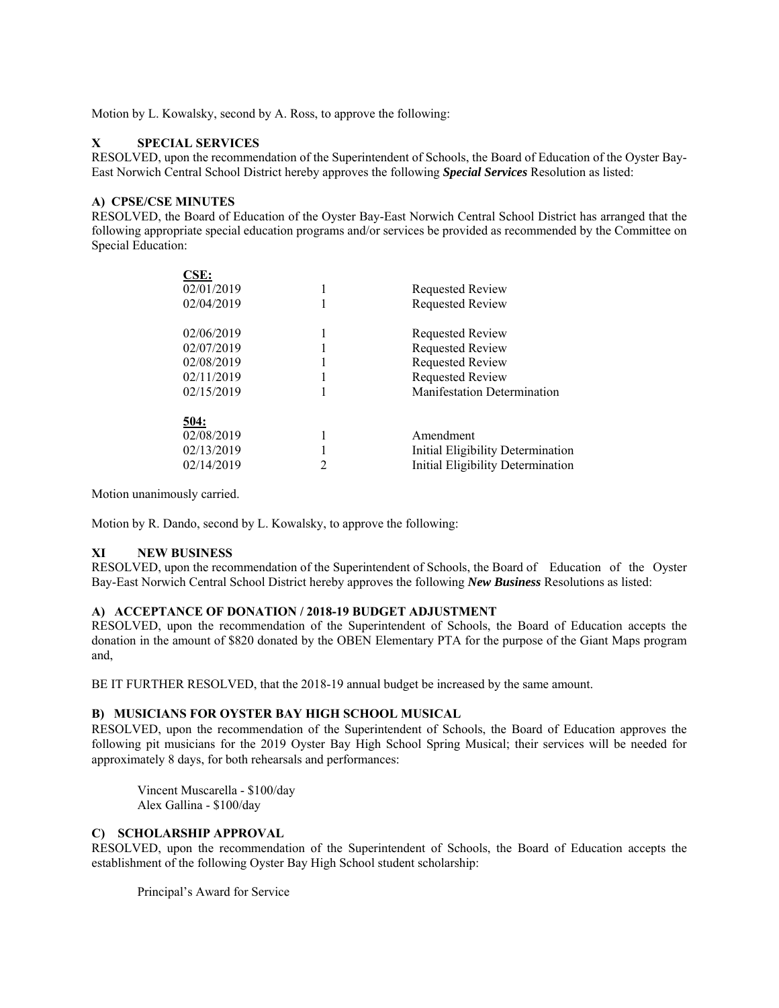Motion by L. Kowalsky, second by A. Ross, to approve the following:

# **X SPECIAL SERVICES**

 $CCD$ 

RESOLVED, upon the recommendation of the Superintendent of Schools, the Board of Education of the Oyster Bay-East Norwich Central School District hereby approves the following *Special Services* Resolution as listed:

# **A) CPSE/CSE MINUTES**

RESOLVED, the Board of Education of the Oyster Bay-East Norwich Central School District has arranged that the following appropriate special education programs and/or services be provided as recommended by the Committee on Special Education:

| CSE:        |   |                                    |
|-------------|---|------------------------------------|
| 02/01/2019  |   | Requested Review                   |
| 02/04/2019  |   | Requested Review                   |
| 02/06/2019  |   | Requested Review                   |
| 02/07/2019  |   | Requested Review                   |
| 02/08/2019  |   | Requested Review                   |
| 02/11/2019  |   | Requested Review                   |
| 02/15/2019  |   | <b>Manifestation Determination</b> |
| <u>504:</u> |   |                                    |
| 02/08/2019  |   | Amendment                          |
| 02/13/2019  |   | Initial Eligibility Determination  |
| 02/14/2019  | 2 | Initial Eligibility Determination  |
|             |   |                                    |

Motion unanimously carried.

Motion by R. Dando, second by L. Kowalsky, to approve the following:

# **XI NEW BUSINESS**

RESOLVED, upon the recommendation of the Superintendent of Schools, the Board of Education of the Oyster Bay-East Norwich Central School District hereby approves the following *New Business* Resolutions as listed:

# **A) ACCEPTANCE OF DONATION / 2018-19 BUDGET ADJUSTMENT**

RESOLVED, upon the recommendation of the Superintendent of Schools, the Board of Education accepts the donation in the amount of \$820 donated by the OBEN Elementary PTA for the purpose of the Giant Maps program and,

BE IT FURTHER RESOLVED, that the 2018-19 annual budget be increased by the same amount.

# **B) MUSICIANS FOR OYSTER BAY HIGH SCHOOL MUSICAL**

RESOLVED, upon the recommendation of the Superintendent of Schools, the Board of Education approves the following pit musicians for the 2019 Oyster Bay High School Spring Musical; their services will be needed for approximately 8 days, for both rehearsals and performances:

Vincent Muscarella - \$100/day Alex Gallina - \$100/day

# **C) SCHOLARSHIP APPROVAL**

RESOLVED, upon the recommendation of the Superintendent of Schools, the Board of Education accepts the establishment of the following Oyster Bay High School student scholarship:

Principal's Award for Service